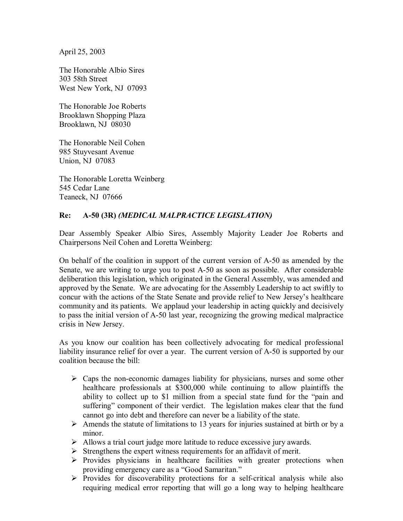April 25, 2003

The Honorable Albio Sires 303 58th Street West New York, NJ 07093

The Honorable Joe Roberts Brooklawn Shopping Plaza Brooklawn, NJ 08030

The Honorable Neil Cohen 985 Stuyvesant Avenue Union, NJ 07083

The Honorable Loretta Weinberg 545 Cedar Lane Teaneck, NJ 07666

## **Re: A-50 (3R)** *(MEDICAL MALPRACTICE LEGISLATION)*

Dear Assembly Speaker Albio Sires, Assembly Majority Leader Joe Roberts and Chairpersons Neil Cohen and Loretta Weinberg:

On behalf of the coalition in support of the current version of A-50 as amended by the Senate, we are writing to urge you to post A-50 as soon as possible. After considerable deliberation this legislation, which originated in the General Assembly, was amended and approved by the Senate. We are advocating for the Assembly Leadership to act swiftly to concur with the actions of the State Senate and provide relief to New Jersey's healthcare community and its patients. We applaud your leadership in acting quickly and decisively to pass the initial version of A-50 last year, recognizing the growing medical malpractice crisis in New Jersey.

As you know our coalition has been collectively advocating for medical professional liability insurance relief for over a year. The current version of A-50 is supported by our coalition because the bill:

- $\triangleright$  Caps the non-economic damages liability for physicians, nurses and some other healthcare professionals at \$300,000 while continuing to allow plaintiffs the ability to collect up to \$1 million from a special state fund for the "pain and suffering" component of their verdict. The legislation makes clear that the fund cannot go into debt and therefore can never be a liability of the state.
- $\triangleright$  Amends the statute of limitations to 13 years for injuries sustained at birth or by a minor.
- $\triangleright$  Allows a trial court judge more latitude to reduce excessive jury awards.
- $\triangleright$  Strengthens the expert witness requirements for an affidavit of merit.
- $\triangleright$  Provides physicians in healthcare facilities with greater protections when providing emergency care as a "Good Samaritan."
- $\triangleright$  Provides for discoverability protections for a self-critical analysis while also requiring medical error reporting that will go a long way to helping healthcare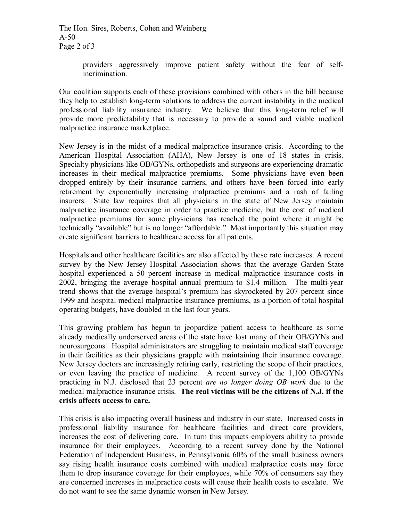The Hon. Sires, Roberts, Cohen and Weinberg A-50 Page 2 of 3

> providers aggressively improve patient safety without the fear of selfincrimination.

Our coalition supports each of these provisions combined with others in the bill because they help to establish long-term solutions to address the current instability in the medical professional liability insurance industry. We believe that this long-term relief will provide more predictability that is necessary to provide a sound and viable medical malpractice insurance marketplace.

New Jersey is in the midst of a medical malpractice insurance crisis. According to the American Hospital Association (AHA), New Jersey is one of 18 states in crisis. Specialty physicians like OB/GYNs, orthopedists and surgeons are experiencing dramatic increases in their medical malpractice premiums. Some physicians have even been dropped entirely by their insurance carriers, and others have been forced into early retirement by exponentially increasing malpractice premiums and a rash of failing insurers. State law requires that all physicians in the state of New Jersey maintain malpractice insurance coverage in order to practice medicine, but the cost of medical malpractice premiums for some physicians has reached the point where it might be technically "available" but is no longer "affordable." Most importantly this situation may create significant barriers to healthcare access for all patients.

Hospitals and other healthcare facilities are also affected by these rate increases. A recent survey by the New Jersey Hospital Association shows that the average Garden State hospital experienced a 50 percent increase in medical malpractice insurance costs in 2002, bringing the average hospital annual premium to \$1.4 million. The multi-year trend shows that the average hospitalís premium has skyrocketed by 207 percent since 1999 and hospital medical malpractice insurance premiums, as a portion of total hospital operating budgets, have doubled in the last four years.

This growing problem has begun to jeopardize patient access to healthcare as some already medically underserved areas of the state have lost many of their OB/GYNs and neurosurgeons. Hospital administrators are struggling to maintain medical staff coverage in their facilities as their physicians grapple with maintaining their insurance coverage. New Jersey doctors are increasingly retiring early, restricting the scope of their practices, or even leaving the practice of medicine. A recent survey of the 1,100 OB/GYNs practicing in N.J. disclosed that 23 percent *are no longer doing OB work* due to the medical malpractice insurance crisis. **The real victims will be the citizens of N.J. if the crisis affects access to care.**

This crisis is also impacting overall business and industry in our state. Increased costs in professional liability insurance for healthcare facilities and direct care providers, increases the cost of delivering care. In turn this impacts employers ability to provide insurance for their employees. According to a recent survey done by the National Federation of Independent Business, in Pennsylvania 60% of the small business owners say rising health insurance costs combined with medical malpractice costs may force them to drop insurance coverage for their employees, while 70% of consumers say they are concerned increases in malpractice costs will cause their health costs to escalate. We do not want to see the same dynamic worsen in New Jersey.